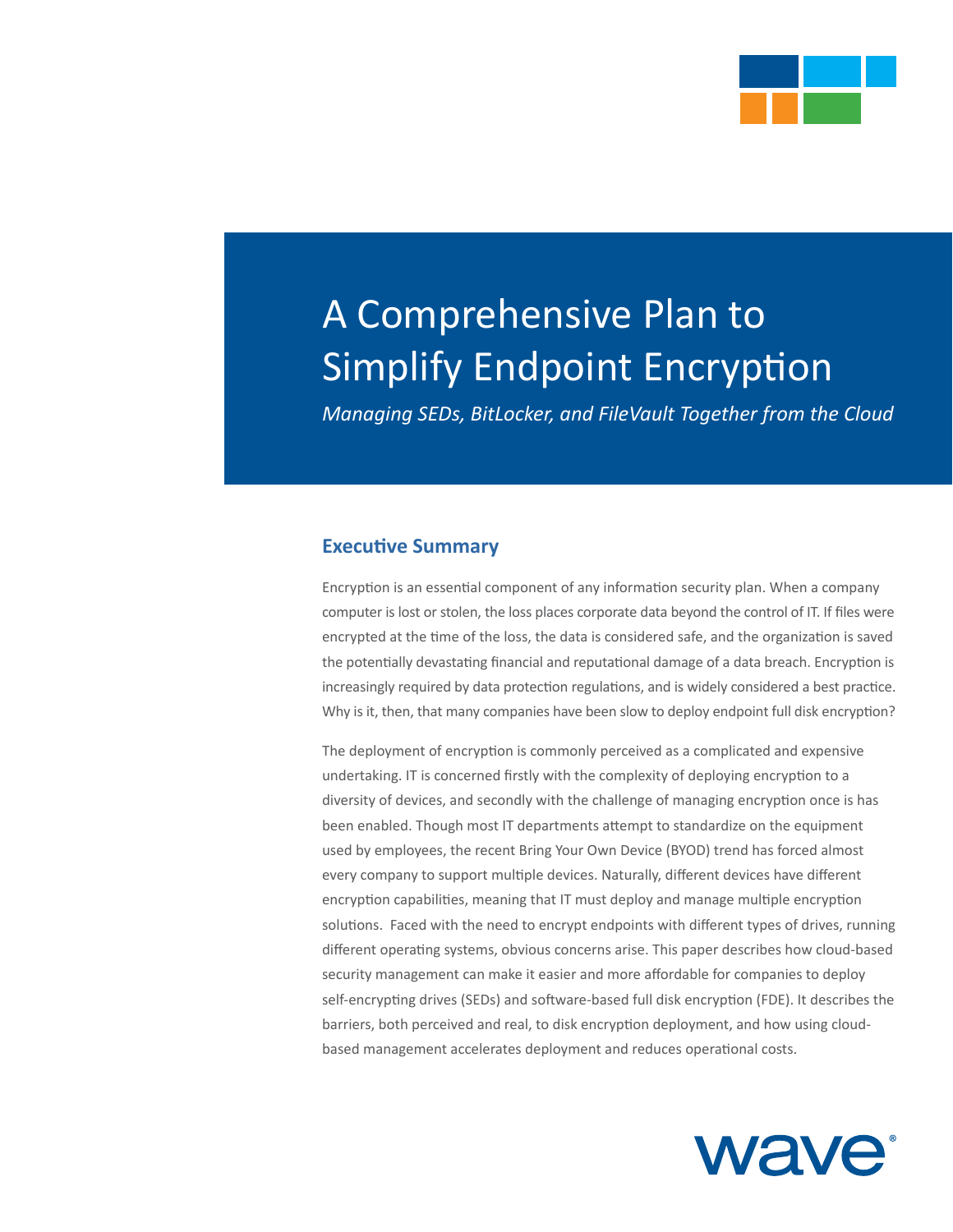

# A Comprehensive Plan to Simplify Endpoint Encryption

*Managing SEDs, BitLocker, and FileVault Together from the Cloud*

#### **Executive Summary**

Encryption is an essential component of any information security plan. When a company computer is lost or stolen, the loss places corporate data beyond the control of IT. If files were encrypted at the time of the loss, the data is considered safe, and the organization is saved the potentially devastating financial and reputational damage of a data breach. Encryption is increasingly required by data protection regulations, and is widely considered a best practice. Why is it, then, that many companies have been slow to deploy endpoint full disk encryption?

The deployment of encryption is commonly perceived as a complicated and expensive undertaking. IT is concerned firstly with the complexity of deploying encryption to a diversity of devices, and secondly with the challenge of managing encryption once is has been enabled. Though most IT departments attempt to standardize on the equipment used by employees, the recent Bring Your Own Device (BYOD) trend has forced almost every company to support multiple devices. Naturally, different devices have different encryption capabilities, meaning that IT must deploy and manage multiple encryption solutions. Faced with the need to encrypt endpoints with different types of drives, running different operating systems, obvious concerns arise. This paper describes how cloud-based security management can make it easier and more affordable for companies to deploy self-encrypting drives (SEDs) and software-based full disk encryption (FDE). It describes the barriers, both perceived and real, to disk encryption deployment, and how using cloudbased management accelerates deployment and reduces operational costs.

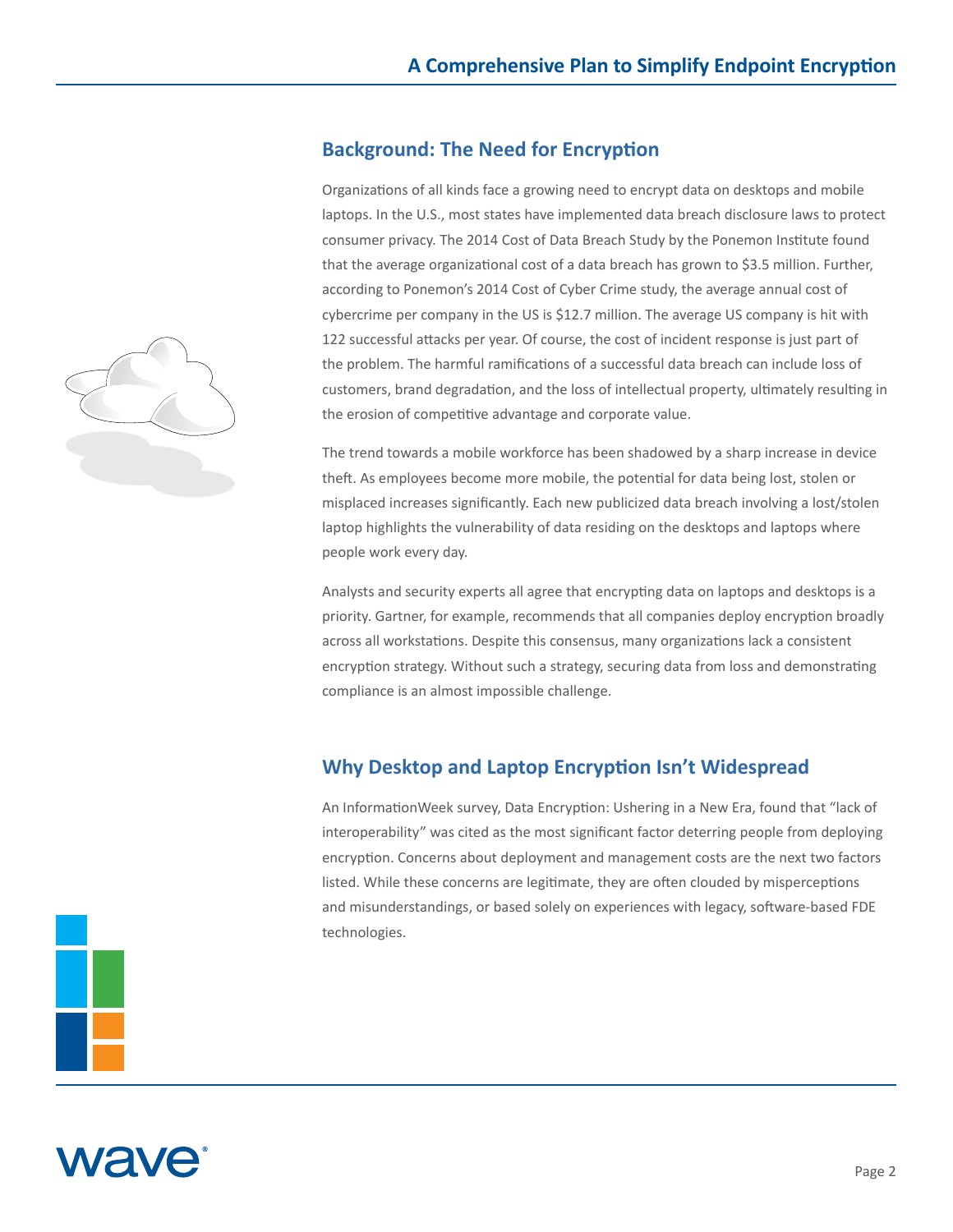#### **Background: The Need for Encryption**

Organizations of all kinds face a growing need to encrypt data on desktops and mobile laptops. In the U.S., most states have implemented data breach disclosure laws to protect consumer privacy. The 2014 Cost of Data Breach Study by the Ponemon Institute found that the average organizational cost of a data breach has grown to \$3.5 million. Further, according to Ponemon's 2014 Cost of Cyber Crime study, the average annual cost of cybercrime per company in the US is \$12.7 million. The average US company is hit with 122 successful attacks per year. Of course, the cost of incident response is just part of the problem. The harmful ramifications of a successful data breach can include loss of customers, brand degradation, and the loss of intellectual property, ultimately resulting in the erosion of competitive advantage and corporate value.

The trend towards a mobile workforce has been shadowed by a sharp increase in device theft. As employees become more mobile, the potential for data being lost, stolen or misplaced increases significantly. Each new publicized data breach involving a lost/stolen laptop highlights the vulnerability of data residing on the desktops and laptops where people work every day.

Analysts and security experts all agree that encrypting data on laptops and desktops is a priority. Gartner, for example, recommends that all companies deploy encryption broadly across all workstations. Despite this consensus, many organizations lack a consistent encryption strategy. Without such a strategy, securing data from loss and demonstrating compliance is an almost impossible challenge.

# **Why Desktop and Laptop Encryption Isn't Widespread**

An InformationWeek survey, Data Encryption: Ushering in a New Era, found that "lack of interoperability" was cited as the most significant factor deterring people from deploying encryption. Concerns about deployment and management costs are the next two factors listed. While these concerns are legitimate, they are often clouded by misperceptions and misunderstandings, or based solely on experiences with legacy, software-based FDE technologies.





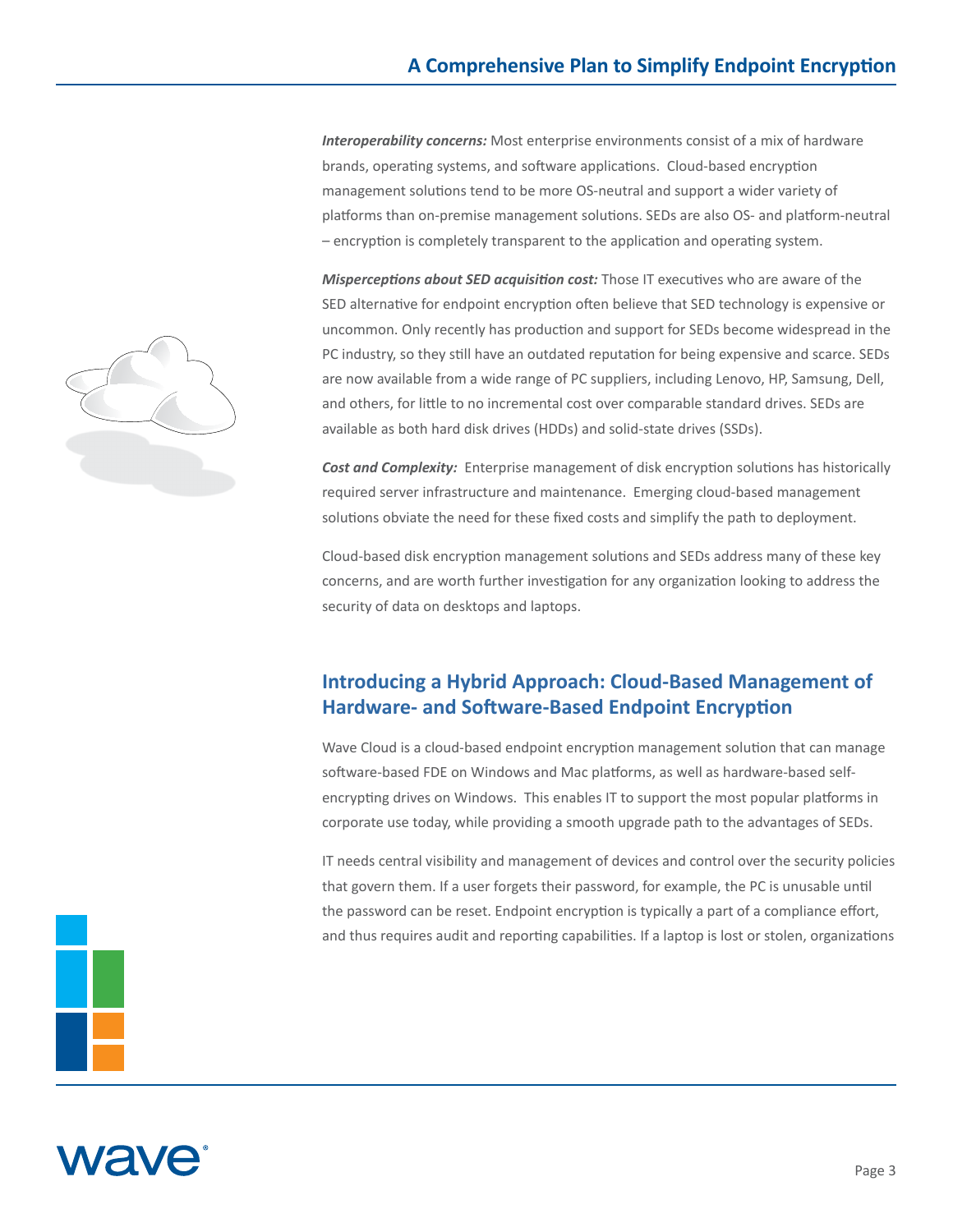*Interoperability concerns:* Most enterprise environments consist of a mix of hardware brands, operating systems, and software applications. Cloud-based encryption management solutions tend to be more OS-neutral and support a wider variety of platforms than on-premise management solutions. SEDs are also OS- and platform-neutral – encryption is completely transparent to the application and operating system.

*Misperceptions about SED acquisition cost:* Those IT executives who are aware of the SED alternative for endpoint encryption often believe that SED technology is expensive or uncommon. Only recently has production and support for SEDs become widespread in the PC industry, so they still have an outdated reputation for being expensive and scarce. SEDs are now available from a wide range of PC suppliers, including Lenovo, HP, Samsung, Dell, and others, for little to no incremental cost over comparable standard drives. SEDs are available as both hard disk drives (HDDs) and solid-state drives (SSDs).

*Cost and Complexity:* Enterprise management of disk encryption solutions has historically required server infrastructure and maintenance. Emerging cloud-based management solutions obviate the need for these fixed costs and simplify the path to deployment.

Cloud-based disk encryption management solutions and SEDs address many of these key concerns, and are worth further investigation for any organization looking to address the security of data on desktops and laptops.

### **Introducing a Hybrid Approach: Cloud-Based Management of Hardware- and Software-Based Endpoint Encryption**

Wave Cloud is a cloud-based endpoint encryption management solution that can manage software-based FDE on Windows and Mac platforms, as well as hardware-based selfencrypting drives on Windows. This enables IT to support the most popular platforms in corporate use today, while providing a smooth upgrade path to the advantages of SEDs.

IT needs central visibility and management of devices and control over the security policies that govern them. If a user forgets their password, for example, the PC is unusable until the password can be reset. Endpoint encryption is typically a part of a compliance effort, and thus requires audit and reporting capabilities. If a laptop is lost or stolen, organizations





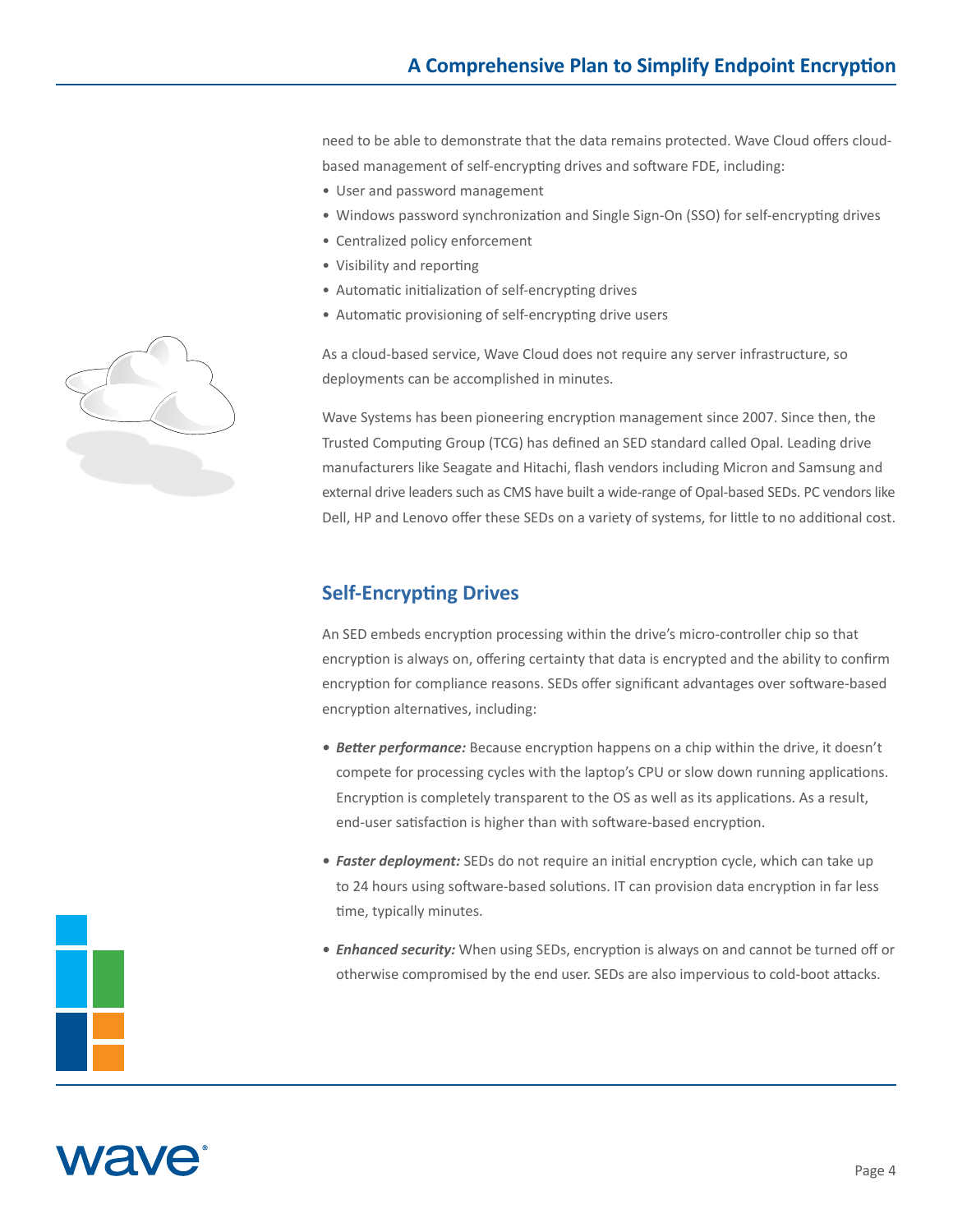need to be able to demonstrate that the data remains protected. Wave Cloud offers cloudbased management of self-encrypting drives and software FDE, including:

- User and password management
- Windows password synchronization and Single Sign-On (SSO) for self-encrypting drives
- Centralized policy enforcement
- Visibility and reporting
- Automatic initialization of self-encrypting drives
- Automatic provisioning of self-encrypting drive users

As a cloud-based service, Wave Cloud does not require any server infrastructure, so deployments can be accomplished in minutes.

Wave Systems has been pioneering encryption management since 2007. Since then, the Trusted Computing Group (TCG) has defined an SED standard called Opal. Leading drive manufacturers like Seagate and Hitachi, flash vendors including Micron and Samsung and external drive leaders such as CMS have built a wide-range of Opal-based SEDs. PC vendors like Dell, HP and Lenovo offer these SEDs on a variety of systems, for little to no additional cost.

## **Self-Encrypting Drives**

An SED embeds encryption processing within the drive's micro-controller chip so that encryption is always on, offering certainty that data is encrypted and the ability to confirm encryption for compliance reasons. SEDs offer significant advantages over software-based encryption alternatives, including:

- *• Better performance:* Because encryption happens on a chip within the drive, it doesn't compete for processing cycles with the laptop's CPU or slow down running applications. Encryption is completely transparent to the OS as well as its applications. As a result, end-user satisfaction is higher than with software-based encryption.
- *• Faster deployment:* SEDs do not require an initial encryption cycle, which can take up to 24 hours using software-based solutions. IT can provision data encryption in far less time, typically minutes.
- *• Enhanced security:* When using SEDs, encryption is always on and cannot be turned off or otherwise compromised by the end user. SEDs are also impervious to cold-boot attacks.





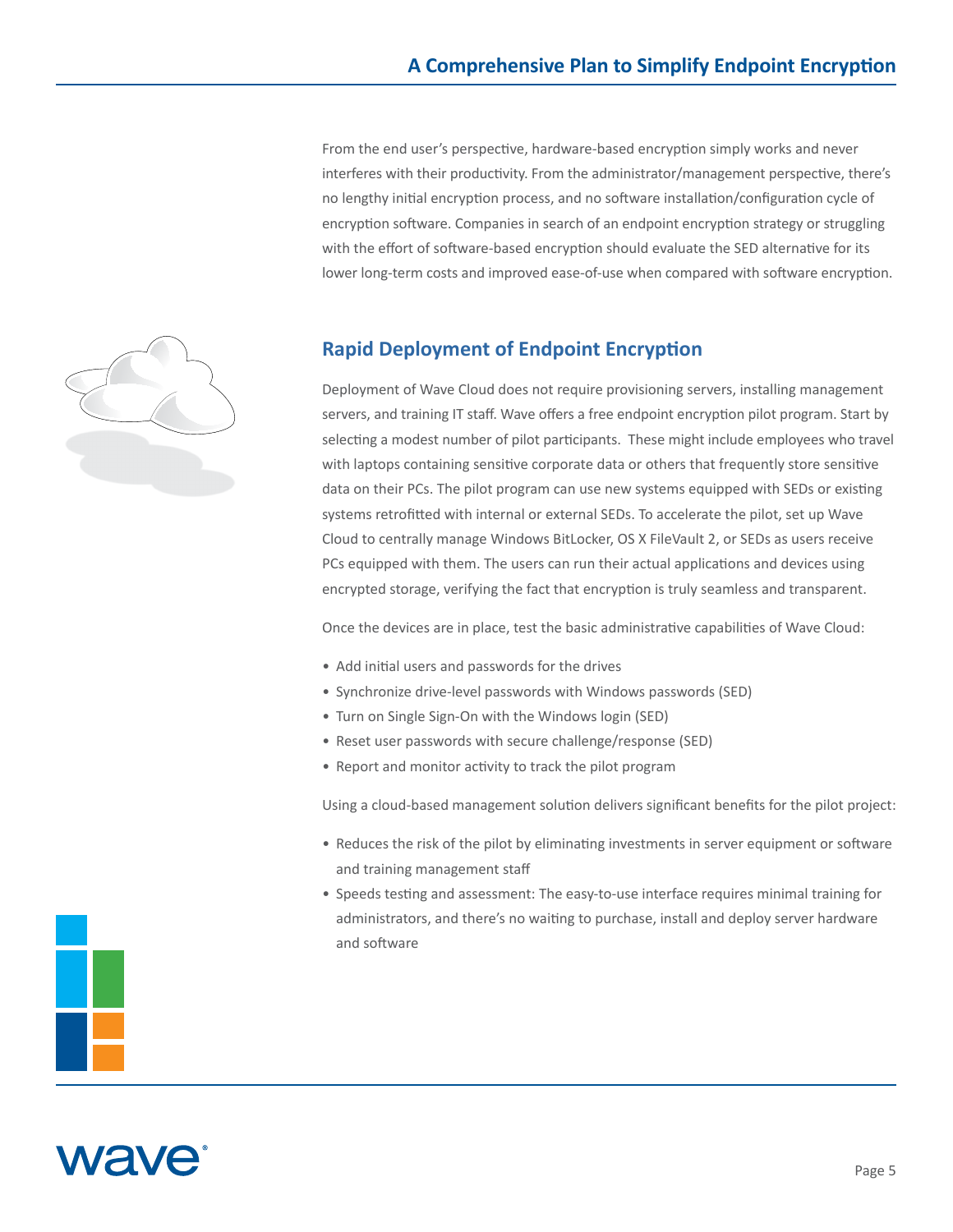From the end user's perspective, hardware-based encryption simply works and never interferes with their productivity. From the administrator/management perspective, there's no lengthy initial encryption process, and no software installation/configuration cycle of encryption software. Companies in search of an endpoint encryption strategy or struggling with the effort of software-based encryption should evaluate the SED alternative for its lower long-term costs and improved ease-of-use when compared with software encryption.



Deployment of Wave Cloud does not require provisioning servers, installing management servers, and training IT staff. Wave offers a free endpoint encryption pilot program. Start by selecting a modest number of pilot participants. These might include employees who travel with laptops containing sensitive corporate data or others that frequently store sensitive data on their PCs. The pilot program can use new systems equipped with SEDs or existing systems retrofitted with internal or external SEDs. To accelerate the pilot, set up Wave Cloud to centrally manage Windows BitLocker, OS X FileVault 2, or SEDs as users receive PCs equipped with them. The users can run their actual applications and devices using encrypted storage, verifying the fact that encryption is truly seamless and transparent.

Once the devices are in place, test the basic administrative capabilities of Wave Cloud:

- Add initial users and passwords for the drives
- Synchronize drive-level passwords with Windows passwords (SED)
- Turn on Single Sign-On with the Windows login (SED)
- Reset user passwords with secure challenge/response (SED)
- Report and monitor activity to track the pilot program

Using a cloud-based management solution delivers significant benefits for the pilot project:

- Reduces the risk of the pilot by eliminating investments in server equipment or software and training management staff
- Speeds testing and assessment: The easy-to-use interface requires minimal training for administrators, and there's no waiting to purchase, install and deploy server hardware and software





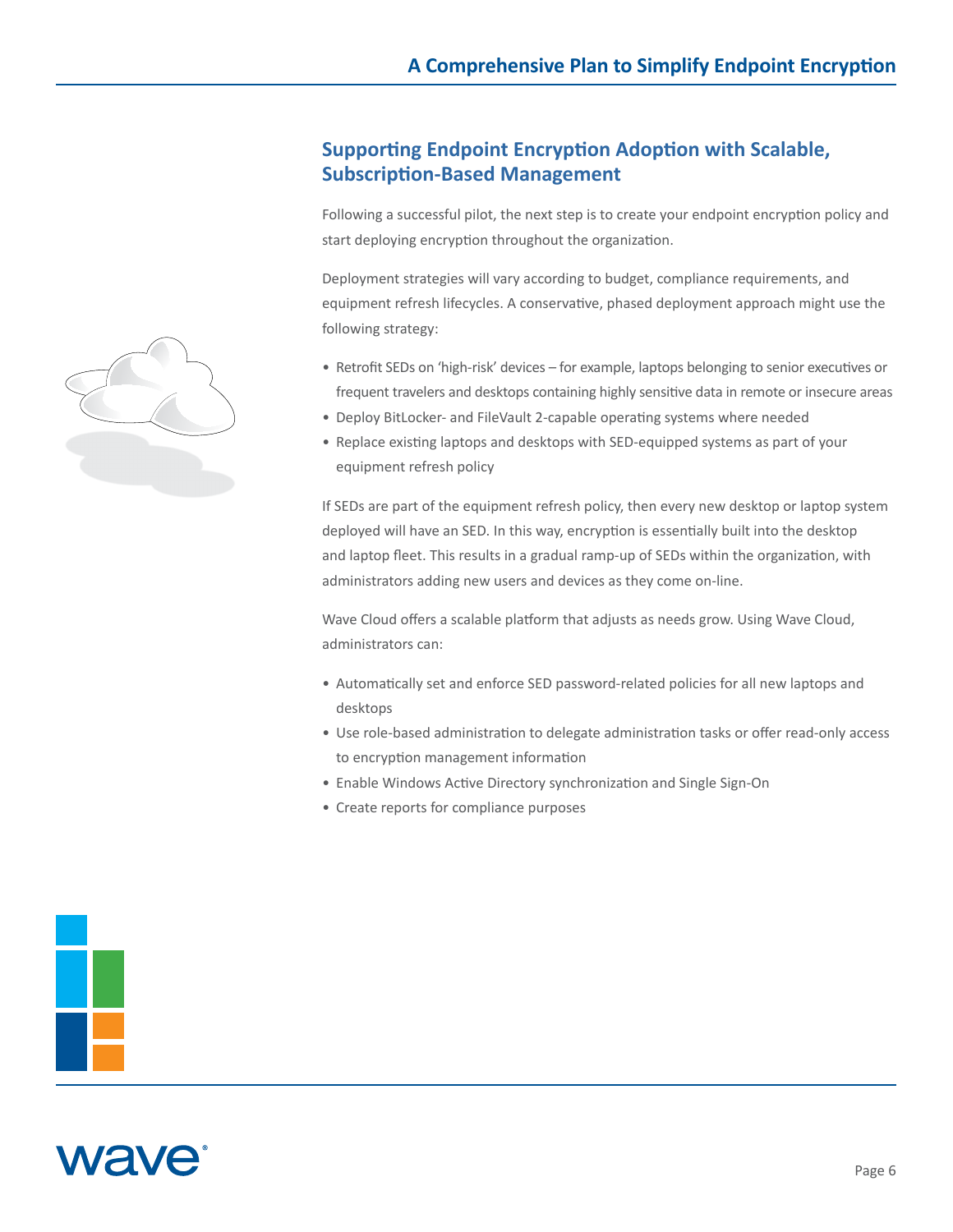#### **Supporting Endpoint Encryption Adoption with Scalable, Subscription-Based Management**

Following a successful pilot, the next step is to create your endpoint encryption policy and start deploying encryption throughout the organization.

Deployment strategies will vary according to budget, compliance requirements, and equipment refresh lifecycles. A conservative, phased deployment approach might use the following strategy:

- Retrofit SEDs on 'high-risk' devices for example, laptops belonging to senior executives or frequent travelers and desktops containing highly sensitive data in remote or insecure areas
- Deploy BitLocker- and FileVault 2-capable operating systems where needed
- Replace existing laptops and desktops with SED-equipped systems as part of your equipment refresh policy

If SEDs are part of the equipment refresh policy, then every new desktop or laptop system deployed will have an SED. In this way, encryption is essentially built into the desktop and laptop fleet. This results in a gradual ramp-up of SEDs within the organization, with administrators adding new users and devices as they come on-line.

Wave Cloud offers a scalable platform that adjusts as needs grow. Using Wave Cloud, administrators can:

- Automatically set and enforce SED password-related policies for all new laptops and desktops
- Use role-based administration to delegate administration tasks or offer read-only access to encryption management information
- Enable Windows Active Directory synchronization and Single Sign-On
- Create reports for compliance purposes